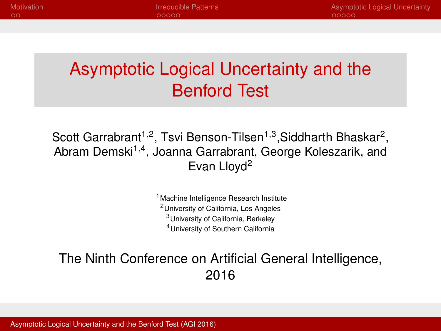# <span id="page-0-0"></span>Asymptotic Logical Uncertainty and the Benford Test

Scott Garrabrant<sup>1,2</sup>, Tsvi Benson-Tilsen<sup>1,3</sup>,Siddharth Bhaskar<sup>2</sup>, Abram Demski<sup>1,4</sup>, Joanna Garrabrant, George Koleszarik, and Evan Llovd<sup>2</sup>

> <sup>1</sup> Machine Intelligence Research Institute University of California, Los Angeles University of California, Berkeley University of Southern California

#### The Ninth Conference on Artificial General Intelligence, 2016

[Asymptotic Logical Uncertainty and the Benford Test \(AGI 2016\)](#page-14-0)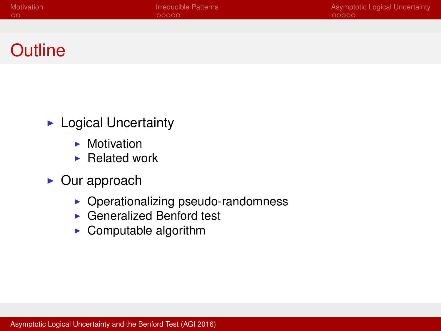## **Outline**

- $\blacktriangleright$  Logical Uncertainty
	- $\blacktriangleright$  Motivation
	- $\blacktriangleright$  Related work
- $\triangleright$  Our approach
	- $\triangleright$  Operationalizing pseudo-randomness
	- ▶ Generalized Benford test
	- $\triangleright$  Computable algorithm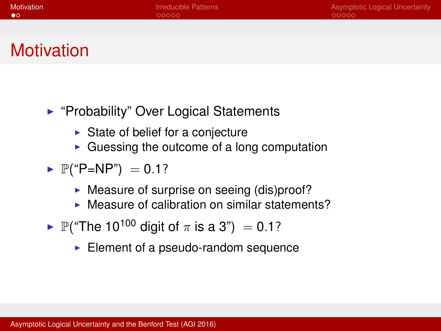# <span id="page-2-0"></span>**Motivation**

- ► "Probability" Over Logical Statements
	- $\triangleright$  State of belief for a conjecture
	- $\triangleright$  Guessing the outcome of a long computation
- $\blacktriangleright$  P("P=NP") = 0.1?
	- $\triangleright$  Measure of surprise on seeing (dis)proof?
	- $\triangleright$  Measure of calibration on similar statements?
- $\blacktriangleright$  P("The 10<sup>100</sup> digit of  $\pi$  is a 3") = 0.1?
	- $\blacktriangleright$  Element of a pseudo-random sequence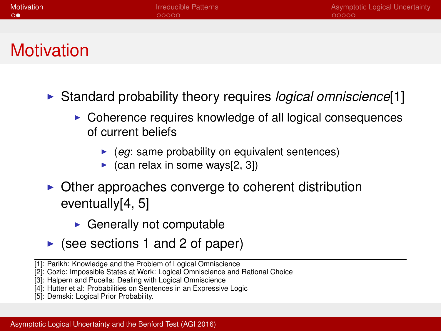# **Motivation**

- **In** Standard probability theory requires *logical omniscience*<sup>[\[1\]](#page-13-0)</sup>
	- $\triangleright$  Coherence requires knowledge of all logical consequences of current beliefs
		- $\blacktriangleright$  (*eg*: same probability on equivalent sentences)
		- $\triangleright$  (can relax in some ways[\[2,](#page-13-1) [3\]](#page-13-2))
- $\triangleright$  Other approaches converge to coherent distribution eventually[\[4,](#page-14-1) [5\]](#page-14-2)
	- $\triangleright$  Generally not computable
- $\triangleright$  (see sections 1 and 2 of paper)
- [\[1\]](#page-13-0): Parikh: Knowledge and the Problem of Logical Omniscience
- [\[2\]](#page-13-1): Cozic: Impossible States at Work: Logical Omniscience and Rational Choice
- [\[3\]](#page-13-2): Halpern and Pucella: Dealing with Logical Omniscience
- [\[4\]](#page-14-1): Hutter et al: Probabilities on Sentences in an Expressive Logic
- [\[5\]](#page-14-2): Demski: Logical Prior Probability.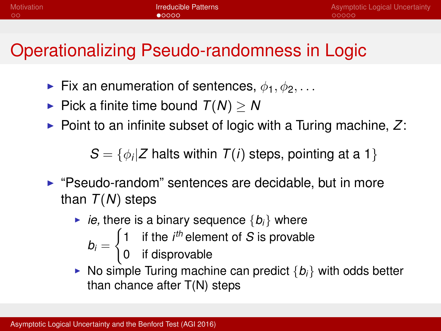<span id="page-4-0"></span>

# Operationalizing Pseudo-randomness in Logic

- Fix an enumeration of sentences,  $\phi_1, \phi_2, \ldots$
- $\blacktriangleright$  Pick a finite time bound  $T(N) > N$
- $\triangleright$  Point to an infinite subset of logic with a Turing machine, Z:

 $S = \{\phi_i | Z \text{ halts within } T(i) \text{ steps, pointing at a 1}\}\$ 

- $\blacktriangleright$  "Pseudo-random" sentences are decidable, but in more than *T*(*N*) steps
	- $\blacktriangleright$  *ie*, there is a binary sequence  $\{b_i\}$  where
		- $\int 1$  if the *i<sup>th</sup>* element of *S* is provable

0 if disprovable

 $\triangleright$  No simple Turing machine can predict  $\{b_i\}$  with odds better than chance after T(N) steps

 $b_i =$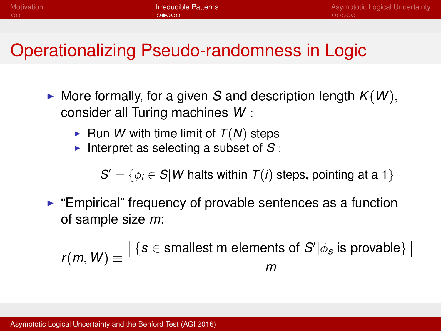## Operationalizing Pseudo-randomness in Logic

- $\triangleright$  More formally, for a given *S* and description length  $K(W)$ , consider all Turing machines *W* :
	- $\blacktriangleright$  Run *W* with time limit of  $T(N)$  steps
	- Interpret as selecting a subset of  $S$ :

 $S' = \{\phi_i \in S | W \text{ halts within } T(i) \text{ steps, pointing at a 1}\}\$ 

 $\blacktriangleright$  "Empirical" frequency of provable sentences as a function of sample size *m*:

$$
r(m, W) \equiv \frac{|\{s \in \text{smallest } m \text{ elements of } S' | \phi_s \text{ is provable}\}\,|}{m}
$$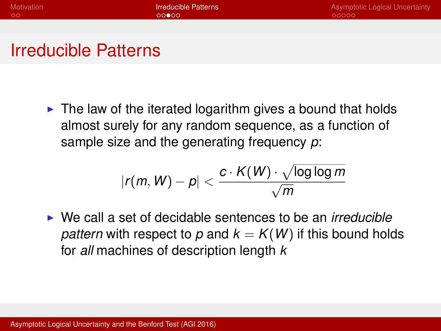### Irreducible Patterns

 $\triangleright$  The law of the iterated logarithm gives a bound that holds almost surely for any random sequence, as a function of sample size and the generating frequency *p*:

$$
|r(m, W) - p| < \frac{c \cdot \mathcal{K}(W) \cdot \sqrt{\log \log m}}{\sqrt{m}}
$$

► We call a set of decidable sentences to be an *irreducible pattern* with respect to p and  $k = K(W)$  if this bound holds for *all* machines of description length *k*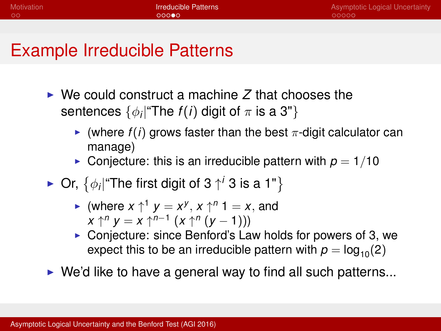## Example Irreducible Patterns

- $\triangleright$  We could construct a machine  $\overline{Z}$  that chooses the sentences  $\{\phi_i | \text{``The $f(i)$ digit of $\pi$ is a 3"\}$ 
	- $\triangleright$  (where  $f(i)$  grows faster than the best  $\pi$ -digit calculator can manage)
	- **Conjecture: this is an irreducible pattern with**  $p = 1/10$
- ► Or,  $\{\phi_i |$ "The first digit of 3  $\uparrow^i$  3 is a 1"}
	- $\blacktriangleright$  (where  $x \uparrow^1 y = x^y, x \uparrow^n 1 = x$ , and *x* ↑<sup>*n*</sup> *y* = *x* ↑<sup>*n*−1</sup> (*x* ↑<sup>*n*</sup> (*y* − 1)))
	- $\triangleright$  Conjecture: since Benford's Law holds for powers of 3, we expect this to be an irreducible pattern with  $p = \log_{10}(2)$
- $\triangleright$  We'd like to have a general way to find all such patterns...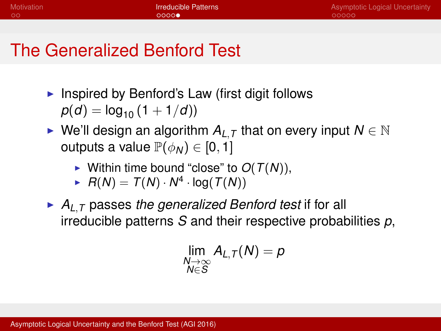# The Generalized Benford Test

- Inspired by Benford's Law (first digit follows  $p(d) = \log_{10} (1 + 1/d)$
- ► We'll design an algorithm  $A_{L,T}$  that on every input  $N \in \mathbb{N}$ outputs a value  $\mathbb{P}(\phi_N) \in [0,1]$ 
	- $\blacktriangleright$  Within time bound "close" to  $O(T(N))$ ,
	- $\blacktriangleright$   $R(N) = T(N) \cdot N^4 \cdot \log(T(N))$
- $\blacktriangleright$   $A_{L,T}$  passes *the generalized Benford test* if for all irreducible patterns *S* and their respective probabilities *p*,

$$
\lim_{\substack{N\to\infty\\ N\in S}}A_{L,\mathcal{T}}(N)=p
$$

[Asymptotic Logical Uncertainty and the Benford Test \(AGI 2016\)](#page-0-0)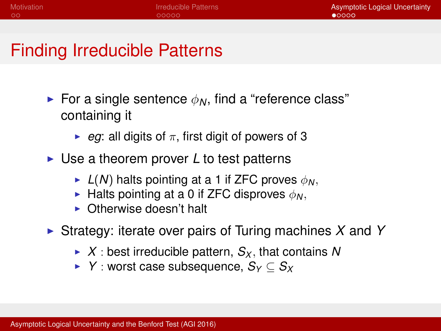### <span id="page-9-0"></span>Finding Irreducible Patterns

- For a single sentence  $\phi_N$ , find a "reference class" containing it
	- $\triangleright$  *eg*: all digits of  $\pi$ , first digit of powers of 3
- ► Use a theorem prover *L* to test patterns
	- $\blacktriangleright$  *L(N)* halts pointing at a 1 if ZFC proves  $\phi_N$ .
	- **Figure 1** Halts pointing at a 0 if ZFC disproves  $\phi_N$ .
	- $\triangleright$  Otherwise doesn't halt
- ► Strategy: iterate over pairs of Turing machines X and Y
	- $\triangleright$  *X* : best irreducible pattern,  $S_X$ , that contains N
	- <sup>I</sup> *Y* : worst case subsequence, *S<sup>Y</sup>* ⊆ *S<sup>X</sup>*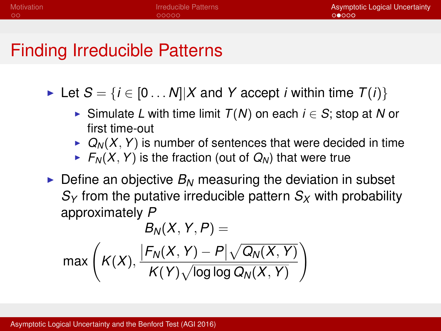### Finding Irreducible Patterns

- ► Let  $S = \{i \in [0 \dots N] \mid X \text{ and } Y \text{ accept } i \text{ within time } T(i)\}\$ 
	- <sup>I</sup> Simulate *L* with time limit *T*(*N*) on each *i* ∈ *S*; stop at *N* or first time-out
	- $\triangleright$   $Q_N(X, Y)$  is number of sentences that were decided in time
	- $\blacktriangleright$   $F_N(X, Y)$  is the fraction (out of  $Q_N$ ) that were true
- $\triangleright$  Define an objective  $B_N$  measuring the deviation in subset  $S_Y$  from the putative irreducible pattern  $S_X$  with probability approximately *P*

$$
B_N(X, Y, P) =
$$
  
max $\left(K(X), \frac{|F_N(X, Y) - P| \sqrt{Q_N(X, Y)}}{K(Y) \sqrt{\log \log Q_N(X, Y)}}\right)$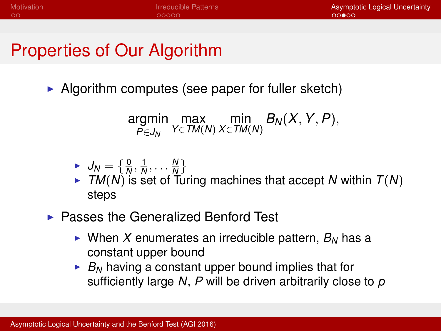## Properties of Our Algorithm

 $\triangleright$  Algorithm computes (see paper for fuller sketch)

$$
\underset{P \in J_N}{\text{argmin}} \ \underset{Y \in \mathcal{TM}(N)}{\text{max}} \ \underset{X \in \mathcal{TM}(N)}{\text{min}} \ B_N(X, Y, P),
$$

$$
\blacktriangleright \bigcup_{N} = \left\{ \frac{0}{N}, \frac{1}{N}, \ldots, \frac{N}{N} \right\}
$$

- $\overline{M}$   $\overline{M}$   $\overline{M}$   $\overline{N}$  is set of Turing machines that accept *N* within *T*(*N*) steps
- $\blacktriangleright$  Passes the Generalized Benford Test
	- $\triangleright$  When X enumerates an irreducible pattern,  $B_N$  has a constant upper bound
	- $\blacktriangleright$  *B<sub>N</sub>* having a constant upper bound implies that for sufficiently large *N*, *P* will be driven arbitrarily close to *p*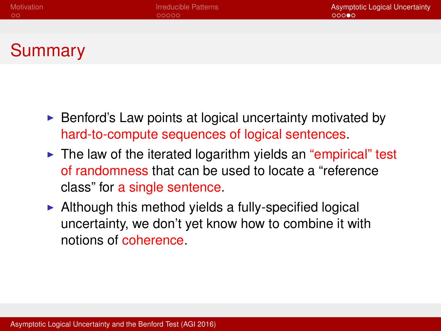## Summary

- $\triangleright$  Benford's Law points at logical uncertainty motivated by hard-to-compute sequences of logical sentences.
- $\triangleright$  The law of the iterated logarithm yields an "empirical" test of randomness that can be used to locate a "reference class" for a single sentence.
- $\blacktriangleright$  Although this method yields a fully-specified logical uncertainty, we don't yet know how to combine it with notions of coherence.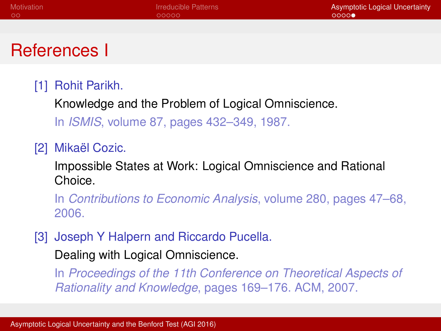### References I

#### <span id="page-13-0"></span>[1] Rohit Parikh.

Knowledge and the Problem of Logical Omniscience. In *ISMIS*, volume 87, pages 432–349, 1987.

<span id="page-13-1"></span>[2] Mikaël Cozic.

Impossible States at Work: Logical Omniscience and Rational Choice.

In *Contributions to Economic Analysis*, volume 280, pages 47–68, 2006.

<span id="page-13-2"></span>[3] Joseph Y Halpern and Riccardo Pucella.

Dealing with Logical Omniscience.

In *Proceedings of the 11th Conference on Theoretical Aspects of Rationality and Knowledge*, pages 169–176. ACM, 2007.